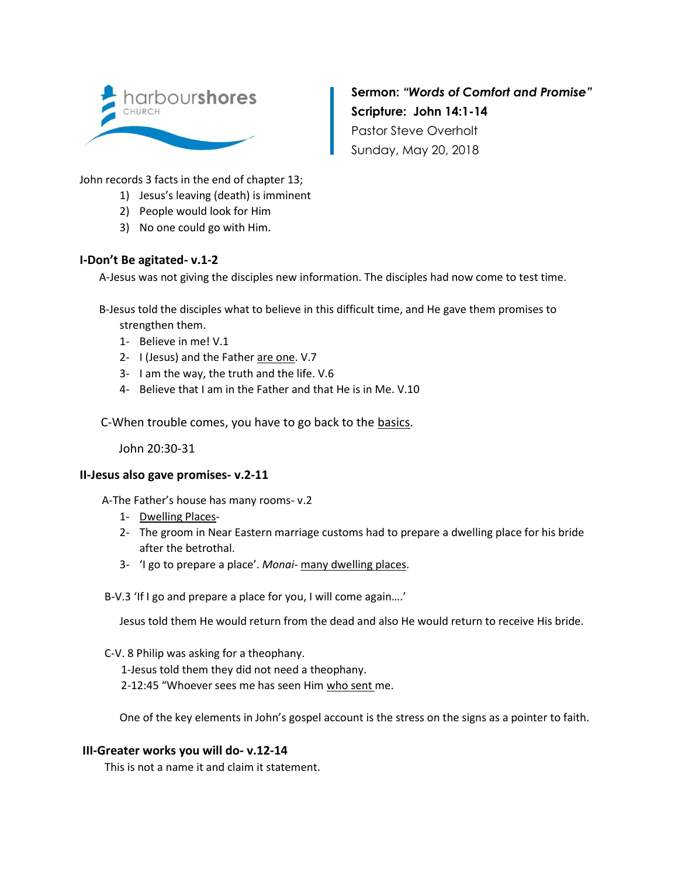

**Sermon:** *"Words of Comfort and Promise"* **Scripture: John 14:1-14** Pastor Steve Overholt Sunday, May 20, 2018

John records 3 facts in the end of chapter 13;

- 1) Jesus's leaving (death) is imminent
- 2) People would look for Him
- 3) No one could go with Him.

## **I-Don't Be agitated- v.1-2**

A-Jesus was not giving the disciples new information. The disciples had now come to test time.

- B-Jesus told the disciples what to believe in this difficult time, and He gave them promises to strengthen them.
	- 1- Believe in me! V.1
	- 2- I (Jesus) and the Father are one. V.7
	- 3- I am the way, the truth and the life. V.6
	- 4- Believe that I am in the Father and that He is in Me. V.10

C-When trouble comes, you have to go back to the basics.

John 20:30-31

## **II-Jesus also gave promises- v.2-11**

A-The Father's house has many rooms- v.2

- 1- Dwelling Places-
- 2- The groom in Near Eastern marriage customs had to prepare a dwelling place for his bride after the betrothal.
- 3- 'I go to prepare a place'. *Monai-* many dwelling places.

B-V.3 'If I go and prepare a place for you, I will come again….'

Jesus told them He would return from the dead and also He would return to receive His bride.

C-V. 8 Philip was asking for a theophany.

1-Jesus told them they did not need a theophany.

2-12:45 "Whoever sees me has seen Him who sent me.

One of the key elements in John's gospel account is the stress on the signs as a pointer to faith.

## **III-Greater works you will do- v.12-14**

This is not a name it and claim it statement.